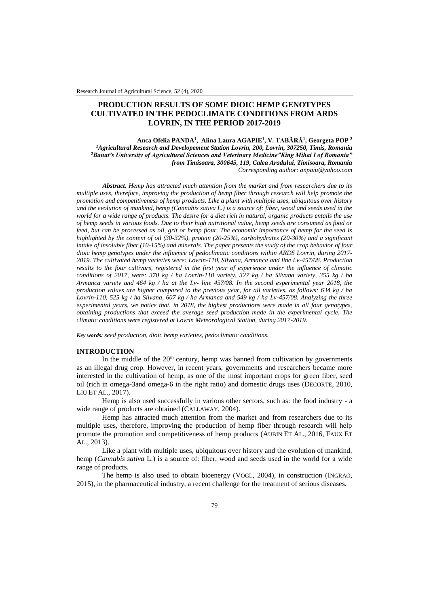# **PRODUCTION RESULTS OF SOME DIOIC HEMP GENOTYPES CULTIVATED IN THE PEDOCLIMATE CONDITIONS FROM ARDS LOVRIN, IN THE PERIOD 2017-2019**

**Anca Ofelia PANDA<sup>1</sup> , Alina Laura AGAPIE<sup>1</sup> , V. TABĂRĂ<sup>1</sup> , Georgeta POP <sup>2</sup>** *<sup>1</sup>Agricultural Research and Developement Station Lovrin, 200, Lovrin, 307250, Timis, Romania <sup>2</sup>Banat's University of Agricultural Sciences and Veterinary Medicine"King Mihai I of Romania" from Timisoara, 300645, 119, Calea Aradului, Timisoara, Romania Corresponding author: anpaiu@yahoo.com*

*Abstract. Hemp has attracted much attention from the market and from researchers due to its multiple uses, therefore, improving the production of hemp fiber through research will help promote the promotion and competitiveness of hemp products. Like a plant with multiple uses, ubiquitous over history and the evolution of mankind, hemp (Cannabis sativa L.) is a source of: fiber, wood and seeds used in the world for a wide range of products. The desire for a diet rich in natural, organic products entails the use of hemp seeds in various foods. Due to their high nutritional value, hemp seeds are consumed as food or feed, but can be processed as oil, grit or hemp flour. The economic importance of hemp for the seed is highlighted by the content of oil (30-32%), protein (20-25%), carbohydrates (20-30%) and a significant intake of insoluble fiber (10-15%) and minerals. The paper presents the study of the crop behavior of four dioic hemp genotypes under the influence of pedoclimatic conditions within ARDS Lovrin, during 2017- 2019. The cultivated hemp varieties were: Lovrin-110, Silvana, Armanca and line Lv-457/08. Production results to the four cultivars, registered in the first year of experience under the influence of climatic conditions of 2017, were: 370 kg / ha Lovrin-110 variety, 327 kg / ha Silvana variety, 355 kg / ha Armanca variety and 464 kg / ha at the Lv- line 457/08. In the second experimental year 2018, the production values are higher compared to the previous year, for all varieties, as follows: 634 kg / ha Lovrin-110, 525 kg / ha Silvana, 607 kg / ha Armanca and 549 kg / ha Lv-457/08. Analyzing the three experimental years, we notice that, in 2018, the highest productions were made in all four genotypes, obtaining productions that exceed the average seed production made in the experimental cycle. The climatic conditions were registered at Lovrin Meteorological Station, during 2017-2019.*

*Key words: seed production, dioic hemp varieties, pedoclimatic conditions.*

## **INTRODUCTION**

In the middle of the  $20<sup>th</sup>$  century, hemp was banned from cultivation by governments as an illegal drug crop. However, in recent years, governments and researchers became more interested in the cultivation of hemp, as one of the most important crops for green fiber, seed oil (rich in omega-3and omega-6 in the right ratio) and domestic drugs uses (DECORTE, 2010, LIU ET AL., 2017).

Hemp is also used successfully in various other sectors, such as: the food industry - a wide range of products are obtained (CALLAWAY, 2004).

Hemp has attracted much attention from the market and from researchers due to its multiple uses, therefore, improving the production of hemp fiber through research will help promote the promotion and competitiveness of hemp products (AUBIN ET AL., 2016, FAUX ET AL., 2013).

Like a plant with multiple uses, ubiquitous over history and the evolution of mankind, hemp (*Cannabis sativa* L.) is a source of: fiber, wood and seeds used in the world for a wide range of products.

The hemp is also used to obtain bioenergy (VOGL, 2004), in construction (INGRAO, 2015), in the pharmaceutical industry, a recent challenge for the treatment of serious diseases.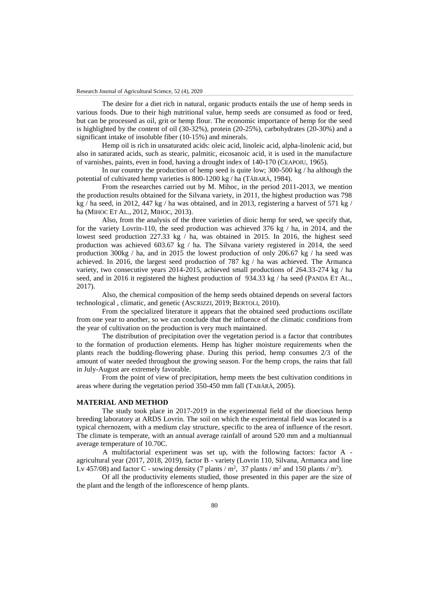The desire for a diet rich in natural, organic products entails the use of hemp seeds in various foods. Due to their high nutritional value, hemp seeds are consumed as food or feed, but can be processed as oil, grit or hemp flour. The economic importance of hemp for the seed is highlighted by the content of oil (30-32%), protein (20-25%), carbohydrates (20-30%) and a significant intake of insoluble fiber (10-15%) and minerals.

Hemp oil is rich in unsaturated acids: oleic acid, linoleic acid, alpha-linolenic acid, but also in saturated acids, such as stearic, palmitic, eicosanoic acid, it is used in the manufacture of varnishes, paints, even in food, having a drought index of 140-170 (CEAPOIU, 1965).

In our country the production of hemp seed is quite low; 300-500 kg / ha although the potential of cultivated hemp varieties is 800-1200 kg / ha (TĂBARĂ, 1984).

From the researches carried out by M. Mihoc, in the period 2011-2013, we mention the production results obtained for the Silvana variety, in 2011, the highest production was 798 kg / ha seed, in 2012, 447 kg / ha was obtained, and in 2013, registering a harvest of 571 kg / ha (MIHOC ET AL., 2012, MIHOC, 2013).

Also, from the analysis of the three varieties of dioic hemp for seed, we specify that, for the variety Lovrin-110, the seed production was achieved 376 kg / ha, in 2014, and the lowest seed production 227.33 kg / ha, was obtained in 2015. In 2016, the highest seed production was achieved 603.67 kg / ha. The Silvana variety registered in 2014, the seed production 300kg / ha, and in 2015 the lowest production of only 206.67 kg / ha seed was achieved. In 2016, the largest seed production of 787 kg / ha was achieved. The Armanca variety, two consecutive years 2014-2015, achieved small productions of 264.33-274 kg / ha seed, and in 2016 it registered the highest production of 934.33 kg / ha seed (PANDA ET AL., 2017).

Also, the chemical composition of the hemp seeds obtained depends on several factors technological , climatic, and genetic (ASCRIZZI, 2019; BERTOLI, 2010).

From the specialized literature it appears that the obtained seed productions oscillate from one year to another, so we can conclude that the influence of the climatic conditions from the year of cultivation on the production is very much maintained.

The distribution of precipitation over the vegetation period is a factor that contributes to the formation of production elements. Hemp has higher moisture requirements when the plants reach the budding-flowering phase. During this period, hemp consumes 2/3 of the amount of water needed throughout the growing season. For the hemp crops, the rains that fall in July-August are extremely favorable.

From the point of view of precipitation, hemp meets the best cultivation conditions in areas where during the vegetation period 350-450 mm fall (TABĂRĂ, 2005).

## **MATERIAL AND METHOD**

The study took place in 2017-2019 in the experimental field of the dioecious hemp breeding laboratory at ARDS Lovrin. The soil on which the experimental field was located is a typical chernozem, with a medium clay structure, specific to the area of influence of the resort. The climate is temperate, with an annual average rainfall of around 520 mm and a multiannual average temperature of 10.70C.

 A multifactorial experiment was set up, with the following factors: factor A agricultural year (2017, 2018, 2019), factor B - variety (Lovrin 110, Silvana, Armanca and line Lv 457/08) and factor C - sowing density (7 plants /  $m^2$ , 37 plants /  $m^2$  and 150 plants /  $m^2$ ).

Of all the productivity elements studied, those presented in this paper are the size of the plant and the length of the inflorescence of hemp plants.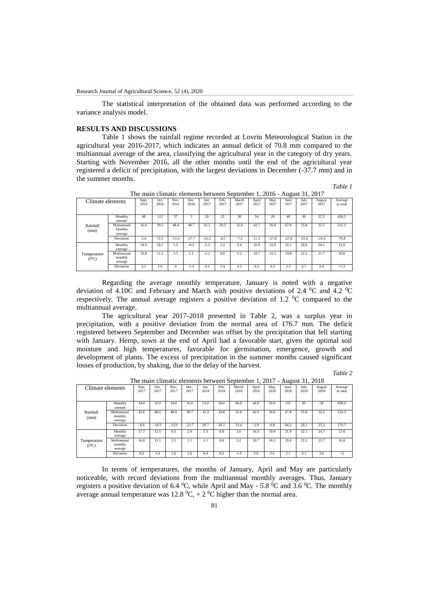The statistical interpretation of the obtained data was performed according to the variance analysis model.

## **RESULTS AND DISCUSSIONS**

Table 1 shows the rainfall regime recorded at Lovrin Meteorological Station in the agricultural year 2016-2017, which indicates an annual deficit of 70.8 mm compared to the multiannual average of the area, classifying the agricultural year in the category of dry years. Starting with November 2016, all the other months until the end of the agricultural year registered a deficit of precipitation, with the largest deviations in December (-37.7 mm) and in the summer months.

*Table 1*

| Climate elements          |                                   | Sept.<br>2016 | Oct.<br>2016 | Nov.<br>2016 | Dec.<br>2016            | Jan.<br>2017 | Feb.<br>2017 | March<br>2017 | April<br>2017 | May<br>2017 | June<br>2017 | July<br>2017 | August<br>2017 | Average<br>or total |
|---------------------------|-----------------------------------|---------------|--------------|--------------|-------------------------|--------------|--------------|---------------|---------------|-------------|--------------|--------------|----------------|---------------------|
|                           | Monthly<br>amount                 | 48            | 112          | 37           | $\overline{\mathbf{3}}$ | 20           | 25           | 30            | 54            | 29          | 40           | 30           | 22.5           | 450.5               |
| Rainfall<br>(mm)          | Multiannual<br>monthly<br>average | 42.6          | 39.5         | 48.4         | 40.7                    | 32.2         | 29.5         | 32.8          | 42.7          | 56.8        | 67.8         | 55.8         | 32.5           | 521.3               |
|                           | Deviation                         | 5.4           | 72.5         | $-11.4$      | $-37.7$                 | $-12.2$      | $-4.5$       | $-7.2$        | 11.3          | $-27.8$     | $-27.8$      | $-25.8$      | $-10.0$        | $-70.8$             |
|                           | Monthly<br>average                | 18.9          | 10.1         | 5.5          | $-0.3$                  | $-5.3$       | 3.2          | 9.4           | 10.9          | 16.9        | 22.1         | 28.9         | 24.1           | 12.0                |
| Temperature<br>$(t^{0}C)$ | Multiannual<br>monthly<br>average | 16.8          | 11.1         | 5.5          | 1.1                     | $-1.2$       | 0.8          | 5.2           | 10.7          | 16.3        | 19.8         | 22.2         | 21.7           | 10.8                |
|                           | Deviation                         | 2.1           | 1.0          | $\mathbf{0}$ | $-1.4$                  | $-4.1$       | 2.4          | 4.2           | 0.2           | 0.3         | 2.3          | 6.7          | 2.4            | $+1.2$              |

The main climatic elements between September 1, 2016 - August 31, 2017

Regarding the average monthly temperature, January is noted with a negative deviation of 4.10C and February and March with positive deviations of 2.4 <sup>o</sup>C and 4.2 <sup>o</sup>C respectively. The annual average registers a positive deviation of 1.2  $\rm{^{\circ}C}$  compared to the multiannual average.

The agricultural year 2017-2018 presented in Table 2, was a surplus year in precipitation, with a positive deviation from the normal area of 176.7 mm. The deficit registered between September and December was offset by the precipitation that fell starting with January. Hemp, sown at the end of April had a favorable start, given the optimal soil moisture and high temperatures, favorable for germination, emergence, growth and development of plants. The excess of precipitation in the summer months caused significant losses of production, by shaking, due to the delay of the harvest.

| $1.100 \pm 0.000$         |                                   |               |              |              |              |              |              |               |               |             |              |              |                |                     |
|---------------------------|-----------------------------------|---------------|--------------|--------------|--------------|--------------|--------------|---------------|---------------|-------------|--------------|--------------|----------------|---------------------|
| Climate elements          |                                   | Sept.<br>2017 | Oct.<br>2017 | Nov.<br>2017 | Dec.<br>2017 | Jan.<br>2018 | Feb.<br>2018 | March<br>2018 | April<br>2018 | May<br>2018 | June<br>2018 | July<br>2018 | August<br>2018 | Average<br>or total |
|                           | Monthly<br>amount                 | 34.0          | 32.0         | 34.0         | 16.0         | 53.0         | 58.0         | 86.0          | 40.0          | 50.0        | 152          | 85           | 58             | 698.0               |
| Rainfall<br>(mm)          | Multiannual<br>monthly<br>average | 42.6          | 40.5         | 48.0         | 39.7         | 32.3         | 29.8         | 32.6          | 42.9          | 56.8        | 67.8         | 55.8         | 32.5           | 521.3               |
|                           | Deviation                         | $-8.6$        | $-10.5$      | $-13.0$      | $-23.7$      | 20.7         | 28.2         | 53.4          | $-2.9$        | $-6.8$      | 84.2         | 29.2         | 25.5           | 176.7               |
|                           | Monthly<br>average                | 17.7          | 12.5         | 6.5          | 2.9          | 5.3          | 0.8          | 3.6           | 16.5          | 19.9        | 21.9         | 22.3         | 24.7           | 12.8                |
| Temperature<br>$(t^{0}C)$ | Multiannual<br>monthly<br>average | 16.8          | 11.1         | 5.5          | 1.1          | $-1.1$       | 0.8          | 5.2           | 10.7          | 16.3        | 19.8         | 22.2         | 21.7           | 10.8                |
|                           | Deviation                         | 0.9           | 1.4          | 1.0          | 1.8          | 6.4          | 0.0          | $-1.6$        | 5.8           | 3.6         | 2.1          | 0.1          | 3.0            | $+2$                |

The main climatic elements between September 1, 2017 - August 31, 2018

In terms of temperatures, the months of January, April and May are particularly noticeable, with record deviations from the multiannual monthly averages. Thus, January registers a positive deviation of 6.4  $^0C$ , while April and May - 5.8  $^0C$  and 3.6  $^0C$ . The monthly average annual temperature was  $12.8 \text{ }^0C$ ,  $+ 2 \text{ }^0C$  higher than the normal area.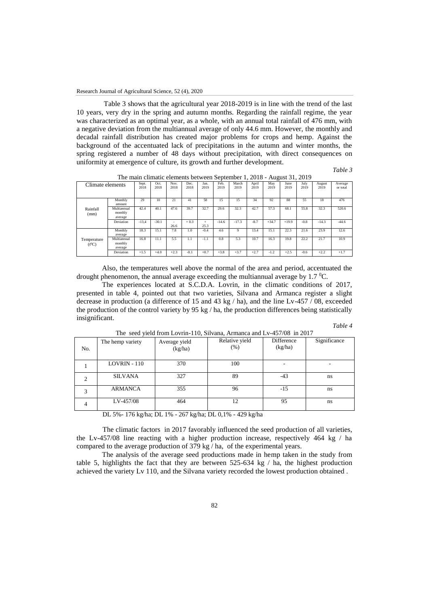Table 3 shows that the agricultural year 2018-2019 is in line with the trend of the last 10 years, very dry in the spring and autumn months. Regarding the rainfall regime, the year was characterized as an optimal year, as a whole, with an annual total rainfall of 476 mm, with a negative deviation from the multiannual average of only 44.6 mm. However, the monthly and decadal rainfall distribution has created major problems for crops and hemp. Against the background of the accentuated lack of precipitations in the autumn and winter months, the spring registered a number of 48 days without precipitation, with direct consequences on uniformity at emergence of culture, its growth and further development.

 *Table 3*

| Climate elements        |                                   | Sept.<br>2018 | Oct.<br>2018 | Nov.<br>2018   | Dec.<br>2018 | Jan.<br>2019 | Feb.<br>2019 | March<br>2019 | April<br>2019 | May<br>2019 | June<br>2019 | July<br>2019 | August<br>2019 | Average<br>or total |
|-------------------------|-----------------------------------|---------------|--------------|----------------|--------------|--------------|--------------|---------------|---------------|-------------|--------------|--------------|----------------|---------------------|
|                         | Monthly<br>amount                 | 29            | 10           | 21             | 41           | 58           | 15           | 15            | 34            | 92          | 88           | 55           | 18             | 476                 |
| Rainfall<br>(mm)        | Multiannual<br>monthly<br>average | 42.4          | 40.1         | 47.6           | 39.7         | 32.7         | 29.6         | 32.3          | 42.7          | 57.3        | 68.1         | 55.8         | 32.3           | 520.6               |
|                         | Deviation                         | $-13.4$       | $-30.1$      | $\sim$<br>26.6 | $+0.3$       | $+$<br>25.3  | $-14.6$      | $-17.3$       | $-8.7$        | $+34.7$     | $+19.9$      | $-0.8$       | $-14.3$        | $-44.6$             |
|                         | Monthly<br>average                | 18.3          | 15.1         | 7.8            | 1.0          | $-0.4$       | 4.6          | 9             | 13.4          | 15.1        | 22.3         | 21.6         | 23.9           | 12.6                |
| Temperature<br>$(t^0C)$ | Multiannual<br>monthly<br>average | 16.8          | 11.1         | 5.5            | -1.1         | $-1.1$       | 0.8          | 5.3           | 10.7          | 16.3        | 19.8         | 22.2         | 21.7           | 10.9                |
|                         | Deviation                         | $+1.5$        | $+4.0$       | $+2.3$         | $-0.1$       | $+0.7$       | $+3.8$       | $+3.7$        | $+2.7$        | $-1.2$      | $+2.5$       | $-0.6$       | $+2.2$         | $+1.7$              |

The main climatic elements between September 1, 2018 - August 31, 2019

Also, the temperatures well above the normal of the area and period, accentuated the drought phenomenon, the annual average exceeding the multiannual average by  $1.7 \degree C$ .

The experiences located at S.C.D.A. Lovrin, in the climatic conditions of 2017, presented in table 4, pointed out that two varieties, Silvana and Armanca register a slight decrease in production (a difference of 15 and 43 kg / ha), and the line Lv-457 / 08, exceeded the production of the control variety by 95 kg / ha, the production differences being statistically insignificant.

| Table 4<br>. |
|--------------|
|--------------|

| No. | The hemp variety | Average yield<br>(kg/ha) | The seed yield from LOVIIII-110, Shivana, Armanca and Ly-45/708 in 2017<br>Relative yield<br>(% ) | Difference<br>(kg/ha) | Significance |
|-----|------------------|--------------------------|---------------------------------------------------------------------------------------------------|-----------------------|--------------|
|     | LOVRIN - 110     | 370                      | 100                                                                                               |                       |              |
|     | <b>SILVANA</b>   | 327                      | 89                                                                                                | $-43$                 | ns           |
| 3   | <b>ARMANCA</b>   | 355                      | 96                                                                                                | $-15$                 | ns           |
| 4   | LV-457/08        | 464                      | 12                                                                                                | 95                    | ns           |

The seed yield from Lovrin-110, Silvana, Armanca and Lv-457/08 in 2017

DL 5%- 176 kg/ha; DL 1% - 267 kg/ha; DL 0,1% - 429 kg/ha

The climatic factors in 2017 favorably influenced the seed production of all varieties, the Lv-457/08 line reacting with a higher production increase, respectively 464 kg / ha compared to the average production of 379 kg / ha, of the experimental years.

The analysis of the average seed productions made in hemp taken in the study from table 5, highlights the fact that they are between  $525-634$  kg  $/$  ha, the highest production achieved the variety Lv 110, and the Silvana variety recorded the lowest production obtained .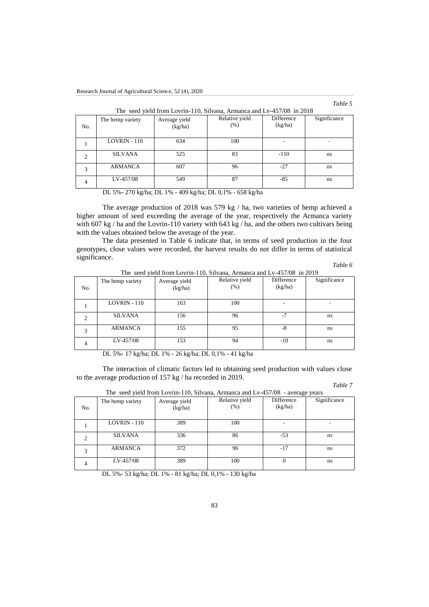*Table 5*

|                | The hemp variety | Average yield | Relative yield | Difference | Significance             |
|----------------|------------------|---------------|----------------|------------|--------------------------|
| No.            |                  | (kg/ha)       | (% )           | (kg/ha)    |                          |
|                |                  |               |                |            |                          |
|                |                  |               |                |            |                          |
|                | LOVRIN - 110     | 634           | 100            |            | $\overline{\phantom{a}}$ |
|                |                  |               |                |            |                          |
|                | <b>SILVANA</b>   | 525           | 83             | $-110$     |                          |
| 2              |                  |               |                |            | ns                       |
|                |                  |               |                |            |                          |
|                | <b>ARMANCA</b>   | 607           | 96             | $-27$      | ns                       |
| 3              |                  |               |                |            |                          |
|                | LV-457/08        | 549           | 87             | -85        |                          |
| $\overline{4}$ |                  |               |                |            | ns                       |
|                |                  |               |                |            |                          |

| The seed vield from Lovrin-110, Silvana, Armanca and Ly-457/08 in 2018 |  |
|------------------------------------------------------------------------|--|
|------------------------------------------------------------------------|--|

DL 5%- 270 kg/ha; DL 1% - 409 kg/ha; DL 0,1% - 658 kg/ha

The average production of 2018 was 579 kg / ha, two varieties of hemp achieved a higher amount of seed exceeding the average of the year, respectively the Armanca variety with 607 kg / ha and the Lovrin-110 variety with 643 kg / ha, and the others two cultivars being with the values obtained below the average of the year.

The data presented in Table 6 indicate that, in terms of seed production in the four genotypes, close values were recorded, the harvest results do not differ in terms of statistical significance.

*Table 6*

|     |                  |                          | The seed yield from Lovrin-110, Silvana, Armanca and Lv-457/08 in 2019 |                       |              |
|-----|------------------|--------------------------|------------------------------------------------------------------------|-----------------------|--------------|
| No. | The hemp variety | Average yield<br>(kg/ha) | Relative yield<br>(% )                                                 | Difference<br>(kg/ha) | Significance |
|     | $LOVRIN - 110$   | 163                      | 100                                                                    |                       |              |
|     | <b>SILVANA</b>   | 156                      | 96                                                                     | $-7$                  | ns           |
| 3   | ARMANCA          | 155                      | 95                                                                     | $-8$                  | ns           |
| 4   | LV-457/08        | 153                      | 94                                                                     | $-10$                 | ns           |

DL 5%- 17 kg/ha; DL 1% - 26 kg/ha; DL 0,1% - 41 kg/ha

The interaction of climatic factors led to obtaining seed production with values close to the average production of 157 kg / ha recorded in 2019.

*Table 7*

| No. | The hemp variety | Average yield<br>(kg/ha) | Relative yield<br>(% ) | $\ldots$<br>Difference<br>(kg/ha) | Significance |
|-----|------------------|--------------------------|------------------------|-----------------------------------|--------------|
|     | $LOVRIN - 110$   | 389                      | 100                    |                                   |              |
| 2   | <b>SILVANA</b>   | 336                      | 86                     | $-53$                             | ns           |
| 3   | <b>ARMANCA</b>   | 372                      | 96                     | $-17$                             | ns           |
| 4   | LV-457/08        | 389                      | 100                    |                                   | ns           |

The seed yield from Lovrin-110, Silvana, Armanca and Lv-457/08 - average years

DL 5%- 53 kg/ha; DL 1% - 81 kg/ha; DL 0,1% - 130 kg/ha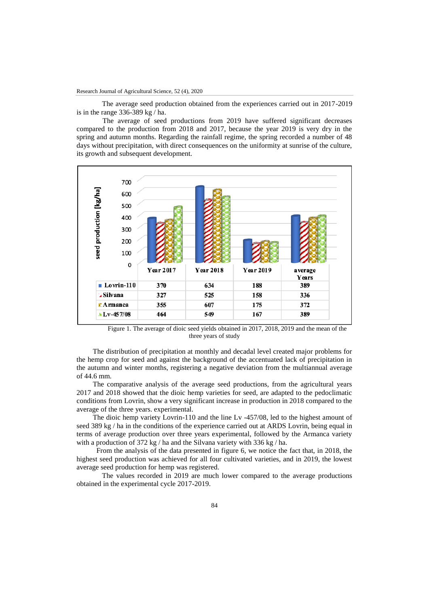The average seed production obtained from the experiences carried out in 2017-2019 is in the range 336-389 kg / ha.

The average of seed productions from 2019 have suffered significant decreases compared to the production from 2018 and 2017, because the year 2019 is very dry in the spring and autumn months. Regarding the rainfall regime, the spring recorded a number of 48 days without precipitation, with direct consequences on the uniformity at sunrise of the culture, its growth and subsequent development.



Figure 1. The average of dioic seed yields obtained in 2017, 2018, 2019 and the mean of the three years of study

 The distribution of precipitation at monthly and decadal level created major problems for the hemp crop for seed and against the background of the accentuated lack of precipitation in the autumn and winter months, registering a negative deviation from the multiannual average of 44.6 mm.

 The comparative analysis of the average seed productions, from the agricultural years 2017 and 2018 showed that the dioic hemp varieties for seed, are adapted to the pedoclimatic conditions from Lovrin, show a very significant increase in production in 2018 compared to the average of the three years. experimental.

 The dioic hemp variety Lovrin-110 and the line Lv -457/08, led to the highest amount of seed 389 kg / ha in the conditions of the experience carried out at ARDS Lovrin, being equal in terms of average production over three years experimental, followed by the Armanca variety with a production of 372 kg / ha and the Silvana variety with 336 kg / ha.

 From the analysis of the data presented in figure 6, we notice the fact that, in 2018, the highest seed production was achieved for all four cultivated varieties, and in 2019, the lowest average seed production for hemp was registered.

The values recorded in 2019 are much lower compared to the average productions obtained in the experimental cycle 2017-2019.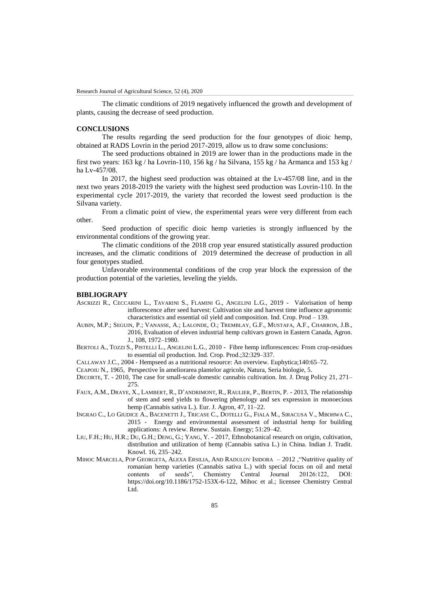The climatic conditions of 2019 negatively influenced the growth and development of plants, causing the decrease of seed production.

## **CONCLUSIONS**

The results regarding the seed production for the four genotypes of dioic hemp, obtained at RADS Lovrin in the period 2017-2019, allow us to draw some conclusions:

The seed productions obtained in 2019 are lower than in the productions made in the first two years: 163 kg / ha Lovrin-110, 156 kg / ha Silvana, 155 kg / ha Armanca and 153 kg / ha Lv-457/08.

In 2017, the highest seed production was obtained at the Lv-457/08 line, and in the next two years 2018-2019 the variety with the highest seed production was Lovrin-110. In the experimental cycle 2017-2019, the variety that recorded the lowest seed production is the Silvana variety.

From a climatic point of view, the experimental years were very different from each other.

Seed production of specific dioic hemp varieties is strongly influenced by the environmental conditions of the growing year.

The climatic conditions of the 2018 crop year ensured statistically assured production increases, and the climatic conditions of 2019 determined the decrease of production in all four genotypes studied.

Unfavorable environmental conditions of the crop year block the expression of the production potential of the varieties, leveling the yields.

## **BIBLIOGRAPY**

- ASCRIZZI R., CECCARINI L., TAVARINI S., FLAMINI G., ANGELINI L.G., 2019 Valorisation of hemp inflorescence after seed harvest: Cultivation site and harvest time influence agronomic characteristics and essential oil yield and composition. Ind. Crop. Prod – 139.
- AUBIN, M.P.; SEGUIN, P.; VANASSE, A.; LALONDE, O.; TREMBLAY, G.F., MUSTAFA, A.F., CHARRON, J.B., 2016, Evaluation of eleven industrial hemp cultivars grown in Eastern Canada, Agron. J., 108, 1972–1980.
- BERTOLI A., TOZZI S., PISTELLI L., ANGELINI L.G., 2010 Fibre hemp inflorescences: From crop-residues to essential oil production. Ind. Crop. Prod.;32:329–337.

CALLAWAY J.C., 2004 - Hempseed as a nutritional resource: An overview. Euphytica;140:65–72.

CEAPOIU N., 1965, Perspective în ameliorarea plantelor agricole, Natura, Seria biologie, 5.

- DECORTE, T. 2010, The case for small-scale domestic cannabis cultivation. Int. J. Drug Policy 21, 271– 275.
- FAUX, A.M., DRAYE, X., LAMBERT, R., D'ANDRIMONT, R., RAULIER, P., BERTIN, P. 2013, The relationship of stem and seed yields to flowering phenology and sex expression in monoecious hemp (Cannabis sativa L.). Eur. J. Agron, 47, 11–22.
- INGRAO C., LO GIUDICE A., BACENETTI J., TRICASE C., DOTELLI G., FIALA M., SIRACUSA V., MBOHWA C., 2015 - Energy and environmental assessment of industrial hemp for building applications: A review. Renew. Sustain. Energy; 51:29–42.
- LIU, F.H.; HU, H.R.; DU, G.H.; DENG, G.; YANG, Y. 2017, Ethnobotanical research on origin, cultivation, distribution and utilization of hemp (Cannabis sativa L.) in China. Indian J. Tradit. Knowl. 16, 235–242.
- MIHOC MARCELA, POP GEORGETA, ALEXA ERSILIA, AND RADULOV ISIDORA 2012 ,"Nutritive quality of romanian hemp varieties (Cannabis sativa L.) with special focus on oil and metal contents of seeds", Chemistry Central Journal 20126:122, DOI: contents of seeds", Chemistry Central Journal 20126:122, DOI: https://doi.org/10.1186/1752-153X-6-122, Mihoc et al.; licensee Chemistry Central Ltd.